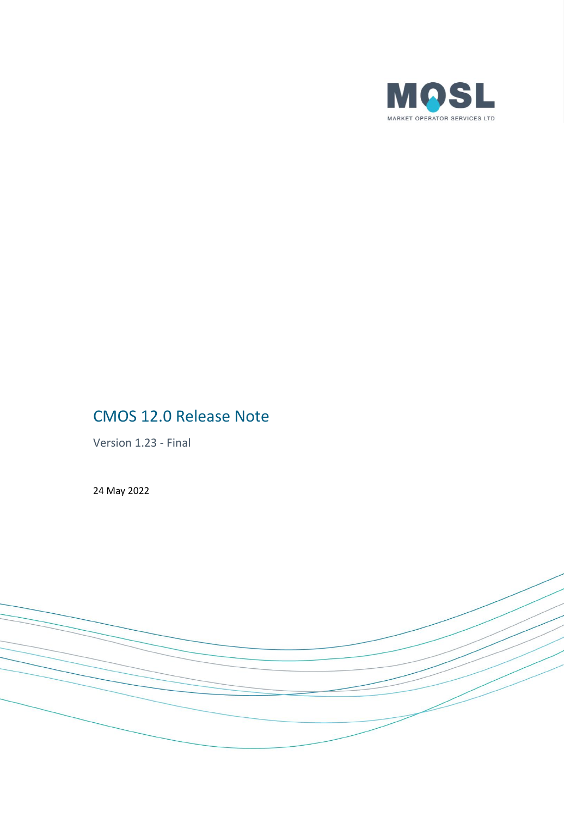

# CMOS 12.0 Release Note

Version 1.23 - Final

24 May 2022

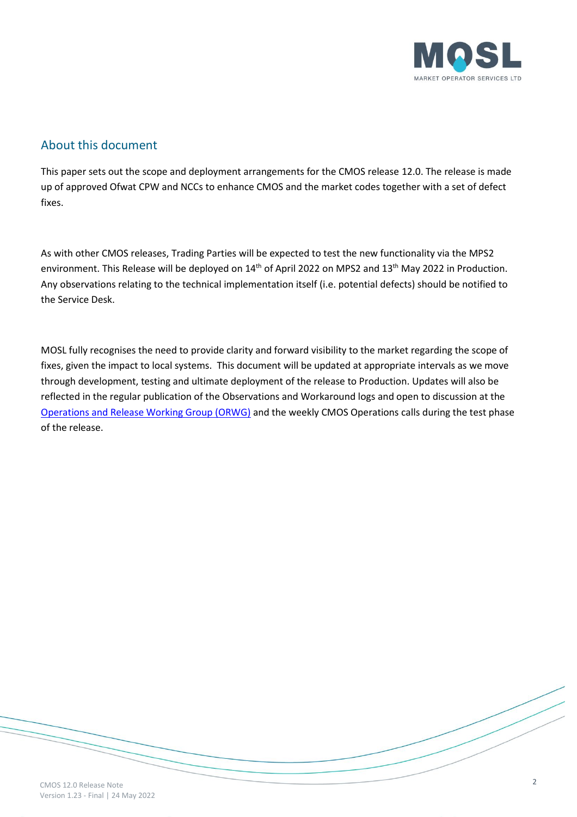

### About this document

This paper sets out the scope and deployment arrangements for the CMOS release 12.0. The release is made up of approved Ofwat CPW and NCCs to enhance CMOS and the market codes together with a set of defect fixes.

As with other CMOS releases, Trading Parties will be expected to test the new functionality via the MPS2 environment. This Release will be deployed on 14<sup>th</sup> of April 2022 on MPS2 and 13<sup>th</sup> May 2022 in Production. Any observations relating to the technical implementation itself (i.e. potential defects) should be notified to the Service Desk.

MOSL fully recognises the need to provide clarity and forward visibility to the market regarding the scope of fixes, given the impact to local systems. This document will be updated at appropriate intervals as we move through development, testing and ultimate deployment of the release to Production. Updates will also be reflected in the regular publication of the Observations and Workaround logs and open to discussion at the [Operations and Release Working Group \(ORWG\)](https://mosl.co.uk/groups-and-forums/industry-groups-forums/orwg) and the weekly CMOS Operations calls during the test phase of the release.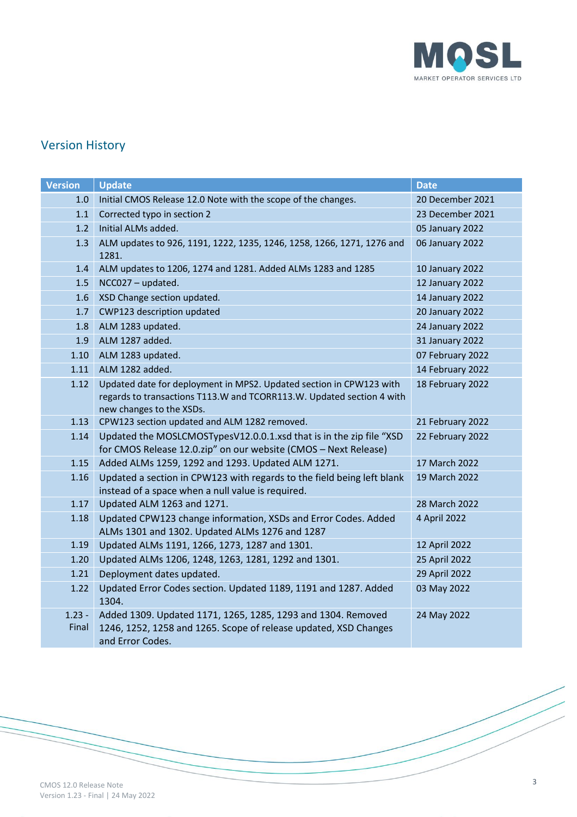

# Version History

| <b>Version</b> | <b>Update</b>                                                                                                        | <b>Date</b>      |
|----------------|----------------------------------------------------------------------------------------------------------------------|------------------|
| 1.0            | Initial CMOS Release 12.0 Note with the scope of the changes.                                                        | 20 December 2021 |
| 1.1            | Corrected typo in section 2                                                                                          | 23 December 2021 |
| 1.2            | Initial ALMs added.                                                                                                  | 05 January 2022  |
| 1.3            | ALM updates to 926, 1191, 1222, 1235, 1246, 1258, 1266, 1271, 1276 and                                               | 06 January 2022  |
|                | 1281.                                                                                                                |                  |
| 1.4            | ALM updates to 1206, 1274 and 1281. Added ALMs 1283 and 1285                                                         | 10 January 2022  |
| 1.5            | NCC027 - updated.                                                                                                    | 12 January 2022  |
| 1.6            | XSD Change section updated.                                                                                          | 14 January 2022  |
| 1.7            | CWP123 description updated                                                                                           | 20 January 2022  |
| 1.8            | ALM 1283 updated.                                                                                                    | 24 January 2022  |
| 1.9            | ALM 1287 added.                                                                                                      | 31 January 2022  |
| 1.10           | ALM 1283 updated.                                                                                                    | 07 February 2022 |
| 1.11           | ALM 1282 added.                                                                                                      | 14 February 2022 |
| 1.12           | Updated date for deployment in MPS2. Updated section in CPW123 with                                                  | 18 February 2022 |
|                | regards to transactions T113.W and TCORR113.W. Updated section 4 with                                                |                  |
|                | new changes to the XSDs.                                                                                             |                  |
| 1.13           | CPW123 section updated and ALM 1282 removed.                                                                         | 21 February 2022 |
| 1.14           | Updated the MOSLCMOSTypesV12.0.0.1.xsd that is in the zip file "XSD                                                  | 22 February 2022 |
| 1.15           | for CMOS Release 12.0.zip" on our website (CMOS - Next Release)<br>Added ALMs 1259, 1292 and 1293. Updated ALM 1271. | 17 March 2022    |
| 1.16           | Updated a section in CPW123 with regards to the field being left blank                                               | 19 March 2022    |
|                | instead of a space when a null value is required.                                                                    |                  |
| 1.17           | Updated ALM 1263 and 1271.                                                                                           | 28 March 2022    |
| 1.18           | Updated CPW123 change information, XSDs and Error Codes. Added                                                       | 4 April 2022     |
|                | ALMs 1301 and 1302. Updated ALMs 1276 and 1287                                                                       |                  |
| 1.19           | Updated ALMs 1191, 1266, 1273, 1287 and 1301.                                                                        | 12 April 2022    |
| 1.20           | Updated ALMs 1206, 1248, 1263, 1281, 1292 and 1301.                                                                  | 25 April 2022    |
| 1.21           | Deployment dates updated.                                                                                            | 29 April 2022    |
| 1.22           | Updated Error Codes section. Updated 1189, 1191 and 1287. Added                                                      | 03 May 2022      |
|                | 1304.                                                                                                                |                  |
| $1.23 -$       | Added 1309. Updated 1171, 1265, 1285, 1293 and 1304. Removed                                                         | 24 May 2022      |
| Final          | 1246, 1252, 1258 and 1265. Scope of release updated, XSD Changes                                                     |                  |
|                | and Error Codes.                                                                                                     |                  |

3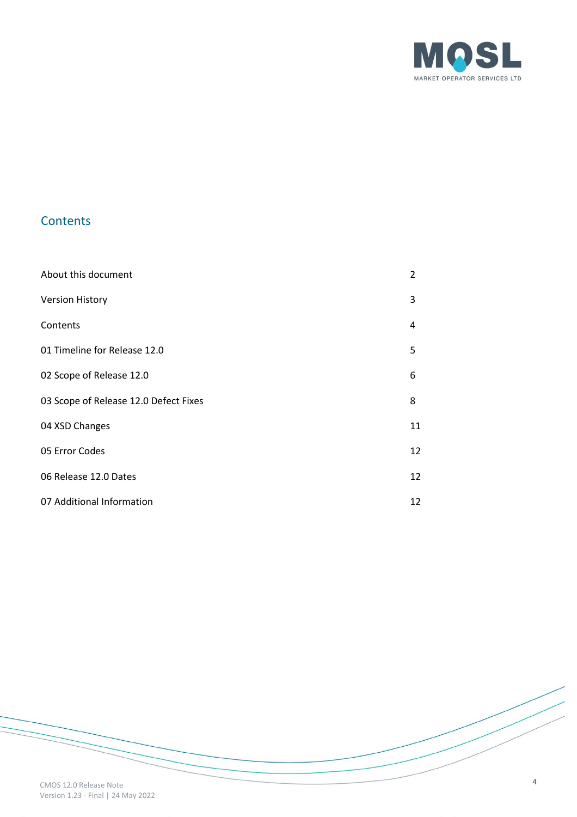

## **Contents**

| About this document                   | $\mathcal{P}$ |
|---------------------------------------|---------------|
| <b>Version History</b>                | 3             |
| Contents                              | 4             |
| 01 Timeline for Release 12.0          | 5             |
| 02 Scope of Release 12.0              | 6             |
| 03 Scope of Release 12.0 Defect Fixes | 8             |
| 04 XSD Changes                        | 11            |
| 05 Error Codes                        | 12            |
| 06 Release 12.0 Dates                 | 12            |
| 07 Additional Information             | 12            |

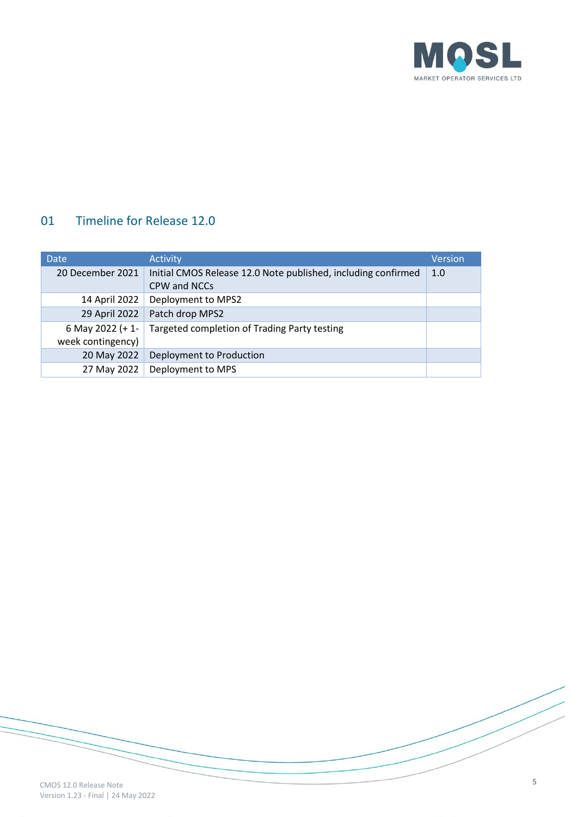

## 01 Timeline for Release 12.0

| <b>Date</b>       | <b>Activity</b>                                               | <b>Version</b> |
|-------------------|---------------------------------------------------------------|----------------|
| 20 December 2021  | Initial CMOS Release 12.0 Note published, including confirmed | 1.0            |
|                   | CPW and NCCs                                                  |                |
| 14 April 2022     | Deployment to MPS2                                            |                |
| 29 April 2022     | Patch drop MPS2                                               |                |
| 6 May 2022 (+1-   | Targeted completion of Trading Party testing                  |                |
| week contingency) |                                                               |                |
| 20 May 2022       | Deployment to Production                                      |                |
| 27 May 2022       | Deployment to MPS                                             |                |

5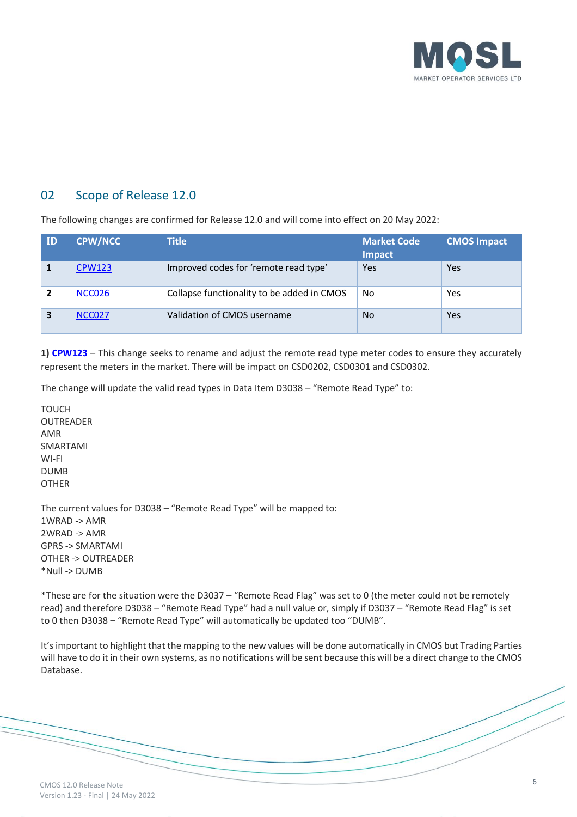

#### 02 Scope of Release 12.0

The following changes are confirmed for Release 12.0 and will come into effect on 20 May 2022:

| ID | <b>CPW/NCC</b> | <b>Title</b>                               | <b>Market Code</b><br>Impact | <b>CMOS Impact</b> |
|----|----------------|--------------------------------------------|------------------------------|--------------------|
|    | <b>CPW123</b>  | Improved codes for 'remote read type'      | Yes                          | Yes                |
|    | <b>NCC026</b>  | Collapse functionality to be added in CMOS | No                           | Yes                |
|    | <b>NCC027</b>  | Validation of CMOS username                | <b>No</b>                    | Yes                |

**1) [CPW123](https://mosl.co.uk/change/changes/improved-codes-for-remote-read-type)** – This change seeks to rename and adjust the remote read type meter codes to ensure they accurately represent the meters in the market. There will be impact on CSD0202, CSD0301 and CSD0302.

The change will update the valid read types in Data Item D3038 – "Remote Read Type" to:

TOUCH OUTREADER AMR SMARTAMI WI-FI DUMB OTHER

The current values for D3038 – "Remote Read Type" will be mapped to: 1WRAD -> AMR 2WRAD -> AMR GPRS -> SMARTAMI OTHER -> OUTREADER \*Null -> DUMB

\*These are for the situation were the D3037 – "Remote Read Flag" was set to 0 (the meter could not be remotely read) and therefore D3038 – "Remote Read Type" had a null value or, simply if D3037 – "Remote Read Flag" is set to 0 then D3038 – "Remote Read Type" will automatically be updated too "DUMB".

It's important to highlight that the mapping to the new values will be done automatically in CMOS but Trading Parties will have to do it in their own systems, as no notifications will be sent because this will be a direct change to the CMOS Database.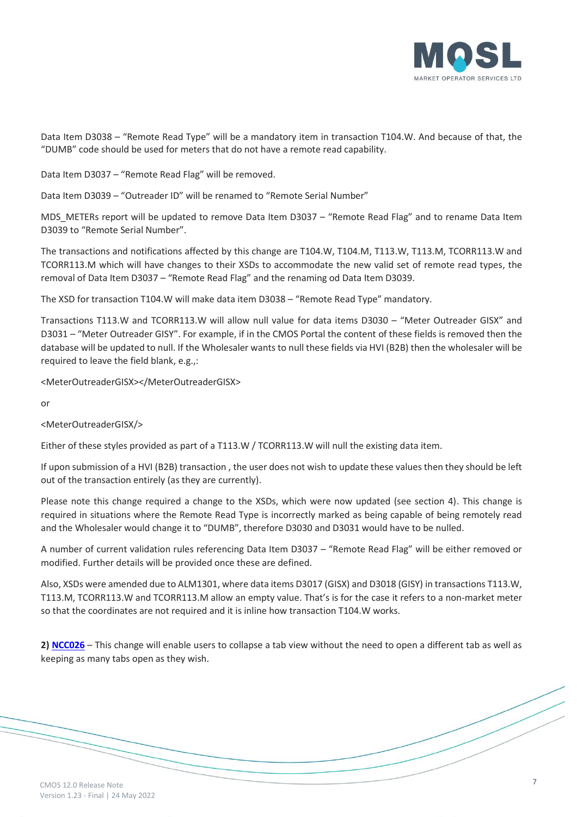

Data Item D3038 – "Remote Read Type" will be a mandatory item in transaction T104.W. And because of that, the "DUMB" code should be used for meters that do not have a remote read capability.

Data Item D3037 – "Remote Read Flag" will be removed.

Data Item D3039 – "Outreader ID" will be renamed to "Remote Serial Number"

MDS\_METERs report will be updated to remove Data Item D3037 – "Remote Read Flag" and to rename Data Item D3039 to "Remote Serial Number".

The transactions and notifications affected by this change are T104.W, T104.M, T113.W, T113.M, TCORR113.W and TCORR113.M which will have changes to their XSDs to accommodate the new valid set of remote read types, the removal of Data Item D3037 – "Remote Read Flag" and the renaming od Data Item D3039.

The XSD for transaction T104.W will make data item D3038 – "Remote Read Type" mandatory.

Transactions T113.W and TCORR113.W will allow null value for data items D3030 – "Meter Outreader GISX" and D3031 – "Meter Outreader GISY". For example, if in the CMOS Portal the content of these fields is removed then the database will be updated to null. If the Wholesaler wants to null these fields via HVI (B2B) then the wholesaler will be required to leave the field blank, e.g.,:

<MeterOutreaderGISX></MeterOutreaderGISX>

or

<MeterOutreaderGISX/>

Either of these styles provided as part of a T113.W / TCORR113.W will null the existing data item.

If upon submission of a HVI (B2B) transaction , the user does not wish to update these values then they should be left out of the transaction entirely (as they are currently).

Please note this change required a change to the XSDs, which were now updated (see section 4). This change is required in situations where the Remote Read Type is incorrectly marked as being capable of being remotely read and the Wholesaler would change it to "DUMB", therefore D3030 and D3031 would have to be nulled.

A number of current validation rules referencing Data Item D3037 – "Remote Read Flag" will be either removed or modified. Further details will be provided once these are defined.

Also, XSDs were amended due to ALM1301, where data items D3017 (GISX) and D3018 (GISY) in transactions T113.W, T113.M, TCORR113.W and TCORR113.M allow an empty value. That's is for the case it refers to a non-market meter so that the coordinates are not required and it is inline how transaction T104.W works.

**2) [NCC026](https://mosl.co.uk/market-codes/change/non-code-change-requests)** – This change will enable users to collapse a tab view without the need to open a different tab as well as keeping as many tabs open as they wish.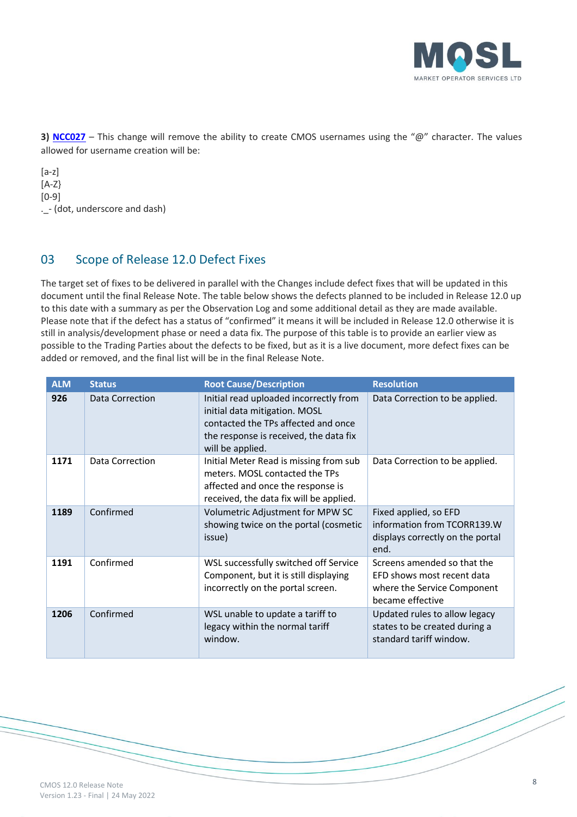

**3)** [NCC027](https://mosl.co.uk/market-codes/change/non-code-change-requests) – This change will remove the ability to create CMOS usernames using the "@" character. The values allowed for username creation will be:

[a-z] [A-Z} [0-9] .\_- (dot, underscore and dash)

### 03 Scope of Release 12.0 Defect Fixes

The target set of fixes to be delivered in parallel with the Changes include defect fixes that will be updated in this document until the final Release Note. The table below shows the defects planned to be included in Release 12.0 up to this date with a summary as per the Observation Log and some additional detail as they are made available. Please note that if the defect has a status of "confirmed" it means it will be included in Release 12.0 otherwise it is still in analysis/development phase or need a data fix. The purpose of this table is to provide an earlier view as possible to the Trading Parties about the defects to be fixed, but as it is a live document, more defect fixes can be added or removed, and the final list will be in the final Release Note.

| <b>ALM</b> | <b>Status</b>   | <b>Root Cause/Description</b>                                                                                                                                                | <b>Resolution</b>                                                                                            |
|------------|-----------------|------------------------------------------------------------------------------------------------------------------------------------------------------------------------------|--------------------------------------------------------------------------------------------------------------|
| 926        | Data Correction | Initial read uploaded incorrectly from<br>initial data mitigation. MOSL<br>contacted the TPs affected and once<br>the response is received, the data fix<br>will be applied. | Data Correction to be applied.                                                                               |
| 1171       | Data Correction | Initial Meter Read is missing from sub<br>meters. MOSL contacted the TPs<br>affected and once the response is<br>received, the data fix will be applied.                     | Data Correction to be applied.                                                                               |
| 1189       | Confirmed       | Volumetric Adjustment for MPW SC<br>showing twice on the portal (cosmetic<br>issue)                                                                                          | Fixed applied, so EFD<br>information from TCORR139.W<br>displays correctly on the portal<br>end.             |
| 1191       | Confirmed       | WSL successfully switched off Service<br>Component, but it is still displaying<br>incorrectly on the portal screen.                                                          | Screens amended so that the<br>EFD shows most recent data<br>where the Service Component<br>became effective |
| 1206       | Confirmed       | WSL unable to update a tariff to<br>legacy within the normal tariff<br>window.                                                                                               | Updated rules to allow legacy<br>states to be created during a<br>standard tariff window.                    |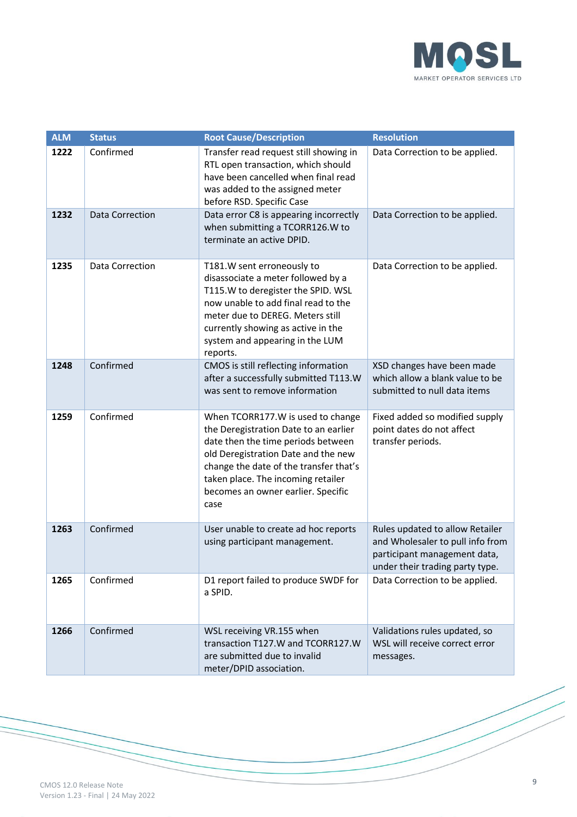

| <b>ALM</b> | <b>Status</b>          | <b>Root Cause/Description</b>                                                                                                                                                                                                                                                         | <b>Resolution</b>                                                                                                                      |
|------------|------------------------|---------------------------------------------------------------------------------------------------------------------------------------------------------------------------------------------------------------------------------------------------------------------------------------|----------------------------------------------------------------------------------------------------------------------------------------|
| 1222       | Confirmed              | Transfer read request still showing in<br>RTL open transaction, which should<br>have been cancelled when final read<br>was added to the assigned meter<br>before RSD. Specific Case                                                                                                   | Data Correction to be applied.                                                                                                         |
| 1232       | <b>Data Correction</b> | Data error C8 is appearing incorrectly<br>when submitting a TCORR126.W to<br>terminate an active DPID.                                                                                                                                                                                | Data Correction to be applied.                                                                                                         |
| 1235       | Data Correction        | T181.W sent erroneously to<br>disassociate a meter followed by a<br>T115.W to deregister the SPID. WSL<br>now unable to add final read to the<br>meter due to DEREG. Meters still<br>currently showing as active in the<br>system and appearing in the LUM<br>reports.                | Data Correction to be applied.                                                                                                         |
| 1248       | Confirmed              | CMOS is still reflecting information<br>after a successfully submitted T113.W<br>was sent to remove information                                                                                                                                                                       | XSD changes have been made<br>which allow a blank value to be<br>submitted to null data items                                          |
| 1259       | Confirmed              | When TCORR177.W is used to change<br>the Deregistration Date to an earlier<br>date then the time periods between<br>old Deregistration Date and the new<br>change the date of the transfer that's<br>taken place. The incoming retailer<br>becomes an owner earlier. Specific<br>case | Fixed added so modified supply<br>point dates do not affect<br>transfer periods.                                                       |
| 1263       | Confirmed              | User unable to create ad hoc reports<br>using participant management.                                                                                                                                                                                                                 | Rules updated to allow Retailer<br>and Wholesaler to pull info from<br>participant management data,<br>under their trading party type. |
| 1265       | Confirmed              | D1 report failed to produce SWDF for<br>a SPID.                                                                                                                                                                                                                                       | Data Correction to be applied.                                                                                                         |
| 1266       | Confirmed              | WSL receiving VR.155 when<br>transaction T127.W and TCORR127.W<br>are submitted due to invalid<br>meter/DPID association.                                                                                                                                                             | Validations rules updated, so<br>WSL will receive correct error<br>messages.                                                           |

CMOS 12.0 Release Note Version 1.23 - Final | 24 May 2022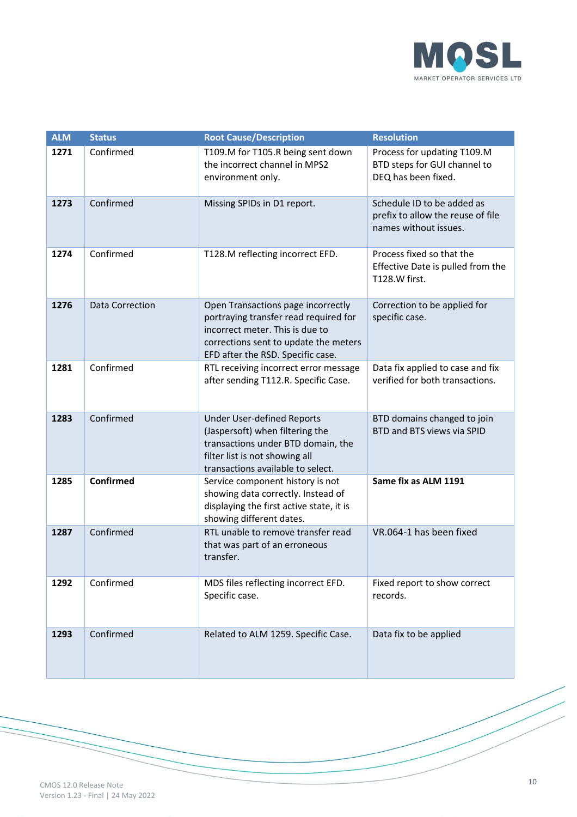

| <b>ALM</b> | <b>Status</b>          | <b>Root Cause/Description</b>                                                                                                                                                                | <b>Resolution</b>                                                                        |
|------------|------------------------|----------------------------------------------------------------------------------------------------------------------------------------------------------------------------------------------|------------------------------------------------------------------------------------------|
| 1271       | Confirmed              | T109.M for T105.R being sent down<br>the incorrect channel in MPS2<br>environment only.                                                                                                      | Process for updating T109.M<br>BTD steps for GUI channel to<br>DEQ has been fixed.       |
| 1273       | Confirmed              | Missing SPIDs in D1 report.                                                                                                                                                                  | Schedule ID to be added as<br>prefix to allow the reuse of file<br>names without issues. |
| 1274       | Confirmed              | T128.M reflecting incorrect EFD.                                                                                                                                                             | Process fixed so that the<br>Effective Date is pulled from the<br>T128.W first.          |
| 1276       | <b>Data Correction</b> | Open Transactions page incorrectly<br>portraying transfer read required for<br>incorrect meter. This is due to<br>corrections sent to update the meters<br>EFD after the RSD. Specific case. | Correction to be applied for<br>specific case.                                           |
| 1281       | Confirmed              | RTL receiving incorrect error message<br>after sending T112.R. Specific Case.                                                                                                                | Data fix applied to case and fix<br>verified for both transactions.                      |
| 1283       | Confirmed              | <b>Under User-defined Reports</b><br>(Jaspersoft) when filtering the<br>transactions under BTD domain, the<br>filter list is not showing all<br>transactions available to select.            | BTD domains changed to join<br>BTD and BTS views via SPID                                |
| 1285       | <b>Confirmed</b>       | Service component history is not<br>showing data correctly. Instead of<br>displaying the first active state, it is<br>showing different dates.                                               | Same fix as ALM 1191                                                                     |
| 1287       | Confirmed              | RTL unable to remove transfer read<br>that was part of an erroneous<br>transfer.                                                                                                             | VR.064-1 has been fixed                                                                  |
| 1292       | Confirmed              | MDS files reflecting incorrect EFD.<br>Specific case.                                                                                                                                        | Fixed report to show correct<br>records.                                                 |
| 1293       | Confirmed              | Related to ALM 1259. Specific Case.                                                                                                                                                          | Data fix to be applied                                                                   |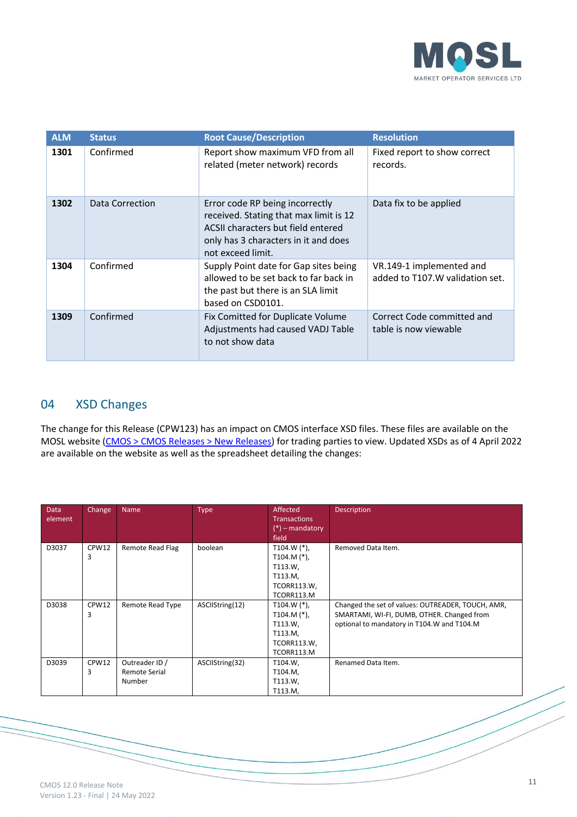

| <b>ALM</b> | <b>Status</b>   | <b>Root Cause/Description</b>                                                                                                                                                | <b>Resolution</b>                                            |
|------------|-----------------|------------------------------------------------------------------------------------------------------------------------------------------------------------------------------|--------------------------------------------------------------|
| 1301       | Confirmed       | Report show maximum VFD from all<br>related (meter network) records                                                                                                          | Fixed report to show correct<br>records.                     |
| 1302       | Data Correction | Error code RP being incorrectly<br>received. Stating that max limit is 12<br>ACSII characters but field entered<br>only has 3 characters in it and does<br>not exceed limit. | Data fix to be applied                                       |
| 1304       | Confirmed       | Supply Point date for Gap sites being<br>allowed to be set back to far back in<br>the past but there is an SLA limit<br>based on CSD0101.                                    | VR.149-1 implemented and<br>added to T107. W validation set. |
| 1309       | Confirmed       | Fix Comitted for Duplicate Volume<br>Adjustments had caused VADJ Table<br>to not show data                                                                                   | Correct Code committed and<br>table is now viewable          |

#### 04 XSD Changes

The change for this Release (CPW123) has an impact on CMOS interface XSD files. These files are available on the MOSL website [\(CMOS > CMOS Releases > New Releases\)](https://mosl.co.uk/cmos) for trading parties to view. Updated XSDs as of 4 April 2022 are available on the website as well as the spreadsheet detailing the changes:

| Data<br>element | Change     | Name                                             | Type            | Affected<br><b>Transactions</b><br>$(*)$ – mandatory<br>field                              | <b>Description</b>                                                                                                                            |
|-----------------|------------|--------------------------------------------------|-----------------|--------------------------------------------------------------------------------------------|-----------------------------------------------------------------------------------------------------------------------------------------------|
| D3037           | CPW12<br>3 | Remote Read Flag                                 | boolean         | T104.W $(*)$ ,<br>T104.M $(*)$ ,<br>T113.W,<br>T113.M,<br><b>TCORR113.W,</b><br>TCORR113.M | Removed Data Item.                                                                                                                            |
| D3038           | CPW12<br>3 | Remote Read Type                                 | ASCIIString(12) | T104.W $(*)$ ,<br>T104.M $(*)$ ,<br>T113.W,<br>T113.M,<br>TCORR113.W,<br>TCORR113.M        | Changed the set of values: OUTREADER, TOUCH, AMR,<br>SMARTAMI, WI-FI, DUMB, OTHER. Changed from<br>optional to mandatory in T104.W and T104.M |
| D3039           | CPW12<br>3 | Outreader ID /<br><b>Remote Serial</b><br>Number | ASCIIString(32) | T104.W,<br>T104.M,<br>T113.W,<br>T113.M,                                                   | Renamed Data Item.                                                                                                                            |